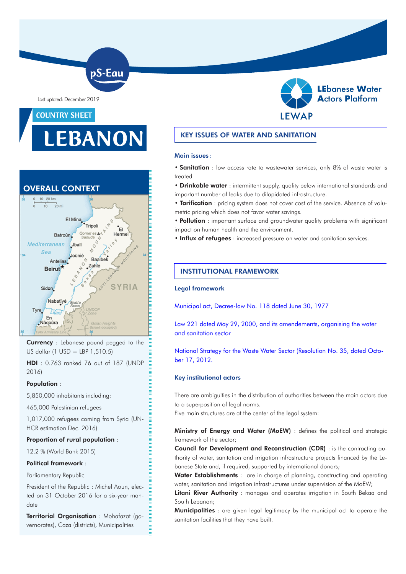Last uptated: December 2019

# COUNTRY SHEET

# EBANON

pS-Eau



Currency : Lebanese pound pegged to the US dollar (1 USD = LBP 1,510.5)

HDI : 0.763 ranked 76 out of 187 (UNDP 2016)

# Population :

5,850,000 inhabitants including:

465,000 Palestinian refugees

1,017,000 refugees coming from Syria (UN-HCR estimation Dec. 2016)

## Proportion of rural population :

12.2 % (World Bank 2015)

#### Political framework :

Parliamentary Republic

President of the Republic : Michel Aoun, elected on 31 October 2016 for a six-year mandate

Territorial Organisation : Mohafazat (governorates), Caza (districts), Municipalities

# KEY ISSUES OF WATER AND SANITATION

#### Main issues :

• Sanitation : low access rate to wastewater services, only 8% of waste water is treated

• Drinkable water : intermittent supply, quality below international standards and important number of leaks due to dilapidated infrastructure.

• Tarification : pricing system does not cover cost of the service. Absence of volumetric pricing which does not favor water savings.

• Pollution : important surface and groundwater quality problems with significant impact on human health and the environment.

• Influx of refugees : increased pressure on water and sanitation services.

# INSTITUTIONAL FRAMEWORK

#### Legal framework

[Municipal act, Decree-law No. 118 dated June 30, 1977](http://www.pseau.org/outils/ouvrages/Ministry_of_interiror_and_municipalities_1977.pdf)

[Law 221 dated May 29, 2000, and its amendements, organising the water](http://www.pseau.org/outils/ouvrages/lb_law_water_221_241_377_2000_en.pdf)  [and sanitation sector](http://www.pseau.org/outils/ouvrages/lb_law_water_221_241_377_2000_en.pdf)

[National Strategy for the Waste Water Sector \(Resolution No. 35, dated Octo](http://www.pseau.org/outils/ouvrages/mee_national_strategy_for_the_wastewater_sector_2012.pdf)[ber 17, 2012](http://www.pseau.org/outils/ouvrages/mee_national_strategy_for_the_wastewater_sector_2012.pdf).

## Key institutional actors

There are ambiguities in the distribution of authorities between the main actors due to a superposition of legal norms.

Five main structures are at the center of the legal system:

Ministry of Energy and Water (MoEW) : defines the political and strategic framework of the sector;

Council for Development and Reconstruction (CDR) : is the contracting authority of water, sanitation and irrigation infrastructure projects financed by the Lebanese State and, if required, supported by international donors;

Water Establishments : are in charge of planning, constructing and operating water, sanitation and irrigation infrastructures under supervision of the MoEW;

Litani River Authority : manages and operates irrigation in South Bekaa and South Lebanon;

**Municipalities** : are given legal legitimacy by the municipal act to operate the sanitation facilities that they have built.